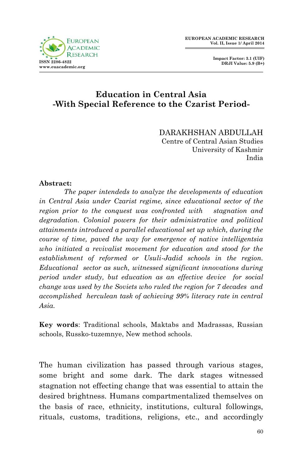

## **Education in Central Asia -With Special Reference to the Czarist Period-**

DARAKHSHAN ABDULLAH Centre of Central Asian Studies University of Kashmir India

### **Abstract:**

*The paper intendeds to analyze the developments of education in Central Asia under Czarist regime, since educational sector of the region prior to the conquest was confronted with stagnation and degradation. Colonial powers for their administrative and political attainments introduced a parallel educational set up which, during the course of time, paved the way for emergence of native intelligentsia who initiated a revivalist movement for education and stood for the establishment of reformed or Usuli-Jadid schools in the region. Educational sector as such, witnessed significant innovations during period under study, but education as an effective device for social change was used by the Soviets who ruled the region for 7 decades and accomplished herculean task of achieving 99% literacy rate in central Asia.*

**Key words**: Traditional schools, Maktabs and Madrassas, Russian schools, Russko-tuzemnye, New method schools.

The human civilization has passed through various stages, some bright and some dark. The dark stages witnessed stagnation not effecting change that was essential to attain the desired brightness. Humans compartmentalized themselves on the basis of race, ethnicity, institutions, cultural followings, rituals, customs, traditions, religions, etc., and accordingly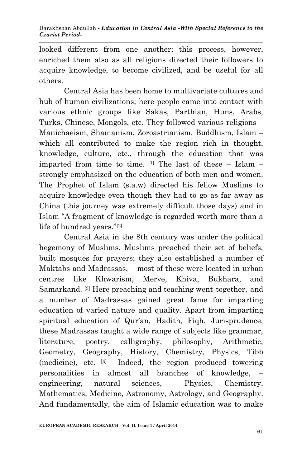looked different from one another; this process, however, enriched them also as all religions directed their followers to acquire knowledge, to become civilized, and be useful for all others.

Central Asia has been home to multivariate cultures and hub of human civilizations; here people came into contact with various ethnic groups like Sakas, Parthian, Huns, Arabs, Turks, Chinese, Mongols, etc. They followed various religions – Manichaeism, Shamanism, Zoroastrianism, Buddhism, Islam – which all contributed to make the region rich in thought, knowledge, culture, etc., through the education that was imparted from time to time.  $[1]$  The last of these – Islam – strongly emphasized on the education of both men and women. The Prophet of Islam (s.a.w) directed his fellow Muslims to acquire knowledge even though they had to go as far away as China (this journey was extremely difficult those days) and in Islam "A fragment of knowledge is regarded worth more than a life of hundred years."[2]

Central Asia in the 8th century was under the political hegemony of Muslims. Muslims preached their set of beliefs, built mosques for prayers; they also established a number of Maktabs and Madrassas, – most of these were located in urban centres like Khwarism, Merve, Khiva, Bukhara, and Samarkand. [3] Here preaching and teaching went together, and a number of Madrassas gained great fame for imparting education of varied nature and quality. Apart from imparting spiritual education of Qur'an, Hadith, Fiqh, Jurisprudence, these Madrassas taught a wide range of subjects like grammar, literature, poetry, calligraphy, philosophy, Arithmetic, Geometry, Geography, History, Chemistry, Physics, Tibb (medicine), etc. [4] Indeed, the region produced towering personalities in almost all branches of knowledge, – engineering, natural sciences, Physics, Chemistry, Mathematics, Medicine, Astronomy, Astrology, and Geography. And fundamentally, the aim of Islamic education was to make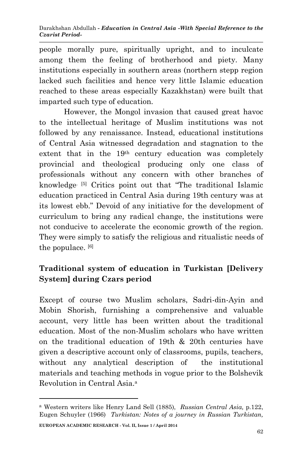people morally pure, spiritually upright, and to inculcate among them the feeling of brotherhood and piety. Many institutions especially in southern areas (northern stepp region lacked such facilities and hence very little Islamic education reached to these areas especially Kazakhstan) were built that imparted such type of education.

However, the Mongol invasion that caused great havoc to the intellectual heritage of Muslim institutions was not followed by any renaissance. Instead, educational institutions of Central Asia witnessed degradation and stagnation to the extent that in the 19th century education was completely provincial and theological producing only one class of professionals without any concern with other branches of knowledge. [5] Critics point out that "The traditional Islamic education practiced in Central Asia during 19th century was at its lowest ebb." Devoid of any initiative for the development of curriculum to bring any radical change, the institutions were not conducive to accelerate the economic growth of the region. They were simply to satisfy the religious and ritualistic needs of the populace. [6]

# **Traditional system of education in Turkistan [Delivery System] during Czars period**

Except of course two Muslim scholars, Sadri-din-Ayin and Mobin Shorish, furnishing a comprehensive and valuable account, very little has been written about the traditional education. Most of the non-Muslim scholars who have written on the traditional education of 19th & 20th centuries have given a descriptive account only of classrooms, pupils, teachers, without any analytical description of the institutional materials and teaching methods in vogue prior to the Bolshevik Revolution in Central Asia<sup>a</sup>

**EUROPEAN ACADEMIC RESEARCH - Vol. II, Issue 1 / April 2014**

**.** 

<sup>a</sup> Western writers like Henry Land Sell (1885), *Russian Central Asia,* p.122, Eugen Schuyler (1966) *Turkistan: Notes of a journey in Russian Turkistan,*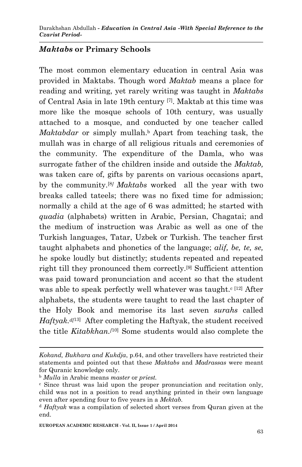### *Maktabs* **or Primary Schools**

The most common elementary education in central Asia was provided in Maktabs. Though word *Maktab* means a place for reading and writing, yet rarely writing was taught in *Maktabs* of Central Asia in late 19th century [7] . Maktab at this time was more like the mosque schools of 10th century, was usually attached to a mosque, and conducted by one teacher called *Maktabdar* or simply mullah.<sup>b</sup> Apart from teaching task, the mullah was in charge of all religious rituals and ceremonies of the community. The expenditure of the Damla, who was surrogate father of the children inside and outside the *Maktab,* was taken care of, gifts by parents on various occasions apart, by the community.[8*] Maktabs* worked all the year with two breaks called tateels; there was no fixed time for admission; normally a child at the age of 6 was admitted; he started with *quadia* (alphabets) written in Arabic, Persian, Chagatai; and the medium of instruction was Arabic as well as one of the Turkish languages, Tatar, Uzbek or Turkish. The teacher first taught alphabets and phonetics of the language; *alif, be, te, se,* he spoke loudly but distinctly; students repeated and repeated right till they pronounced them correctly.[9] Sufficient attention was paid toward pronunciation and accent so that the student was able to speak perfectly well whatever was taught.<sup>c [12]</sup> After alphabets, the students were taught to read the last chapter of the Holy Book and memorise its last seven *surahs* called Haftyak.<sup>*d*[13]</sup> After completing the Haftyak, the student received the title *Kitabkhan.[*10] Some students would also complete the

1

*Kokand, Bukhara and Kukdja*, p.64, and other travellers have restricted their statements and pointed out that these *Maktabs* and *Madrassas* were meant for Quranic knowledge only.

<sup>b</sup> *Mulla* in Arabic means *master* or *priest.*

<sup>c</sup> Since thrust was laid upon the proper pronunciation and recitation only, child was not in a position to read anything printed in their own language even after spending four to five years in a *Mektab.*

<sup>d</sup> *Haftyak* was a compilation of selected short verses from Quran given at the end.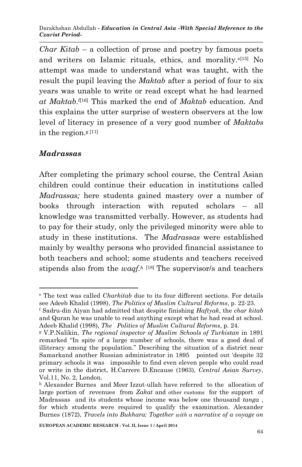*Char Kitab* – a collection of prose and poetry by famous poets and writers on Islamic rituals, ethics, and morality.<sup>e[15]</sup> No attempt was made to understand what was taught, with the result the pupil leaving the *Maktab* after a period of four to six years was unable to write or read except what he had learned *at Maktab*. f[16] This marked the end of *Maktab* education. And this explains the utter surprise of western observers at the low level of literacy in presence of a very good number of *Maktabs* in the region.<sup>g [11]</sup>

## *Madrassas*

1

After completing the primary school course, the Central Asian children could continue their education in institutions called *Madrassas;* here students gained mastery over a number of books through interaction with reputed scholars – all knowledge was transmitted verbally. However, as students had to pay for their study, only the privileged minority were able to study in these institutions. The *Madrassas* were established mainly by wealthy persons who provided financial assistance to both teachers and school; some students and teachers received stipends also from the *waqf.*<sup>*h*</sup> [18] The supervisor/s and teachers

<sup>e</sup> The text was called *Charkitab* due to its four different sections. For details see Adeeb Khalid (1998), *The Politics of Muslim Cultural Reforms*, p. 22-23.

<sup>f</sup> Sadru-din Aiyan had admitted that despite finishing *Haftyak*, the *char kitab* and Quran he was unable to read anything except what he had read at school. Adeeb Khalid (1998), *The Politics of Muslim Cultural Reforms*, p. 24.

<sup>g</sup> V.P.Nalikin, *The regional inspector of Muslim Schools of Turkistan* in 1891 remarked "In spite of a large number of schools, there was a good deal of illiteracy among the population." Describing the situation of a district near Samarkand another Russian administrator in 1895 pointed out 'despite 32 primary schools it was impossible to find even eleven people who could read or write in the district, H.Carrere D.Encause (1963), *Central Asian Survey*, Vol.11, No. 2, London.

h Alexander Burnes and Meer Izzut-ullah have referred to the allocation of large portion of revenues from *Zakat* and other customs for the support of Madrassas and its students whose income was below one thousand *tanga* , for which students were required to qualify the examination. Alexander Burnes (1872), *Travels into Bukhara: Together with a narrative of a voyage on*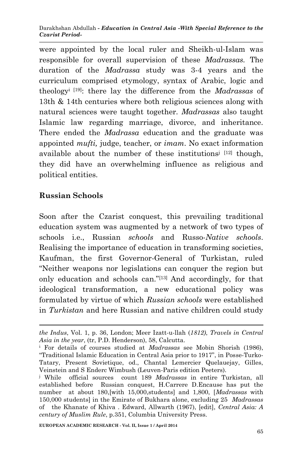were appointed by the local ruler and Sheikh-ul-Islam was responsible for overall supervision of these *Madrassas.* The duration of the *Madrassa* study was 3-4 years and the curriculum comprised etymology, syntax of Arabic, logic and theology<sup>i</sup> [19]: there lay the difference from the *Madrassas* of 13th & 14th centuries where both religious sciences along with natural sciences were taught together. *Madrassas* also taught Islamic law regarding marriage, divorce, and inheritance. There ended the *Madrassa* education and the graduate was appointed *mufti,* judge, teacher, or *imam*. No exact information available about the number of these institutions<sup> $j$  [12]</sup> though, they did have an overwhelming influence as religious and political entities.

## **Russian Schools**

-

Soon after the Czarist conquest, this prevailing traditional education system was augmented by a network of two types of schools i.e., Russian *schools* and Russo*-Native schools*. Realising the importance of education in transforming societies, Kaufman, the first Governor-General of Turkistan, ruled "Neither weapons nor legislations can conquer the region but only education and schools can."[13] And accordingly, for that ideological transformation, a new educational policy was formulated by virtue of which *Russian schools* were established in *Turkistan* and here Russian and native children could study

*the Indus*, Vol. 1, p. 36, London; Meer Izatt-u-llah (*1812)*, *Travels in Central Asia in the year*, (tr, P.D. Henderson), 58, Calcutta.

<sup>i</sup> For details of courses studied at *Madrassas* see Mobin Shorish (1986), "Traditional Islamic Education in Central Asia prior to 1917", in Posse-Turko-Tatary, Present Sovietique, od., Chantal Lemercier Quelauejay, Gilles, Veinstein and S Enderc Wimbush (Leuven-Paris edition Peeters).

<sup>j</sup> While official sources count 189 *Madrassas* in entire Turkistan, all established before Russian conquest, H.Carrere D.Encause has put the number at about 180,[with 15,000,students] and 1,800, [*Madrassas* with 150,000 students] in the Emirate of Bukhara alone, excluding 25 *Madrassas* of the Khanate of Khiva . Edward, Allwarth (1967), [edit], *Central Asia: A century of Muslim Rule*, p.351, Columbia University Press.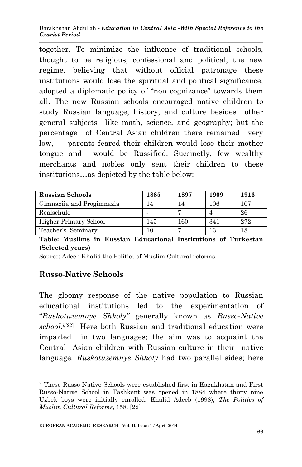together. To minimize the influence of traditional schools, thought to be religious, confessional and political, the new regime, believing that without official patronage these institutions would lose the spiritual and political significance, adopted a diplomatic policy of "non cognizance" towards them all. The new Russian schools encouraged native children to study Russian language, history, and culture besides other general subjects like math, science, and geography; but the percentage of Central Asian children there remained very low, – parents feared their children would lose their mother tongue and would be Russified. Succinctly, few wealthy merchants and nobles only sent their children to these institutions…as depicted by the table below:

| <b>Russian Schools</b>    | 1885 | 1897 | 1909 | 1916 |
|---------------------------|------|------|------|------|
| Gimnaziia and Progimnazia | 14   |      | 106  | 107  |
| Realschule                |      |      |      | 26   |
| Higher Primary School     | 145  | 160  | 341  | 272  |
| Teacher's Seminary        |      |      | 13   |      |

**Table: Muslims in Russian Educational Institutions of Turkestan (Selected years)** 

Source: Adeeb Khalid the Politics of Muslim Cultural reforms.

## **Russo-Native Schools**

The gloomy response of the native population to Russian educational institutions led to the experimentation of "*Ruskotuzemnye Shkoly"* generally known as *Russo-Native school.k*[22] Here both Russian and traditional education were imparted in two languages; the aim was to acquaint the Central Asian children with Russian culture in their native language*. Ruskotuzemnye Shkoly* had two parallel sides; here

**<sup>.</sup>** <sup>k</sup> These Russo Native Schools were established first in Kazakhstan and First Russo-Native School in Tashkent was opened in 1884 where thirty nine Uzbek boys were initially enrolled. Khalid Adeeb (1998), *The Politics of Muslim Cultural Reforms*, 158. [22]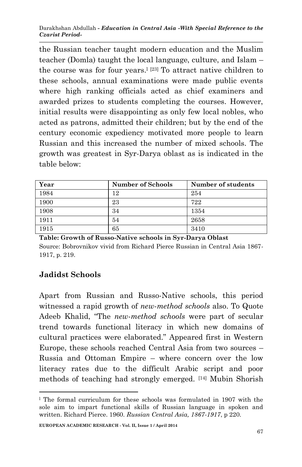the Russian teacher taught modern education and the Muslim teacher (Domla) taught the local language, culture, and Islam – the course was for four years.<sup>[23]</sup> To attract native children to these schools, annual examinations were made public events where high ranking officials acted as chief examiners and awarded prizes to students completing the courses. However, initial results were disappointing as only few local nobles, who acted as patrons, admitted their children; but by the end of the century economic expediency motivated more people to learn Russian and this increased the number of mixed schools. The growth was greatest in Syr-Darya oblast as is indicated in the table below:

| Year | <b>Number of Schools</b> | Number of students |
|------|--------------------------|--------------------|
| 1984 | 12                       | 254                |
| 1900 | 23                       | 722                |
| 1908 | 34                       | 1354               |
| 1911 | 54                       | 2658               |
| 1915 | 65                       | 3410               |

**Table: Growth of Russo-Native schools in Syr-Darya Oblast**  Source: Bobrovnikov vivid from Richard Pierce Russian in Central Asia 1867- 1917, p. 219.

## **Jadidst Schools**

1

Apart from Russian and Russo-Native schools, this period witnessed a rapid growth of *new-method schools* also. To Quote Adeeb Khalid, "The *new-method schools* were part of secular trend towards functional literacy in which new domains of cultural practices were elaborated." Appeared first in Western Europe, these schools reached Central Asia from two sources – Russia and Ottoman Empire – where concern over the low literacy rates due to the difficult Arabic script and poor methods of teaching had strongly emerged. [14] Mubin Shorish

<sup>&</sup>lt;sup>1</sup> The formal curriculum for these schools was formulated in 1907 with the sole aim to impart functional skills of Russian language in spoken and written. Richard Pierce. 1960. *Russian Central Asia, 1867-1917*, p 220.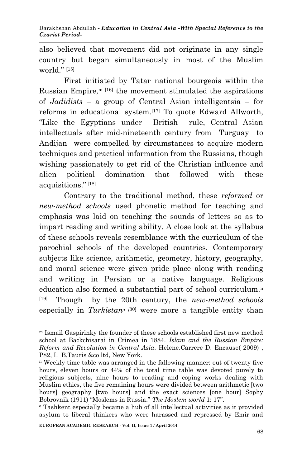also believed that movement did not originate in any single country but began simultaneously in most of the Muslim world." $[15]$ 

First initiated by Tatar national bourgeois within the Russian Empire, $m$ <sup>[16]</sup> the movement stimulated the aspirations of *Jadidists* – a group of Central Asian intelligentsia – for reforms in educational system.[17] To quote Edward Allworth, "Like the Egyptians under British rule, Central Asian intellectuals after mid-nineteenth century from Turguay to Andijan were compelled by circumstances to acquire modern techniques and practical information from the Russians, though wishing passionately to get rid of the Christian influence and alien political domination that followed with these acquisitions."[18]

Contrary to the traditional method, these *reformed* or *new-method schools* used phonetic method for teaching and emphasis was laid on teaching the sounds of letters so as to impart reading and writing ability. A close look at the syllabus of these schools reveals resemblance with the curriculum of the parochial schools of the developed countries. Contemporary subjects like science, arithmetic, geometry, history, geography, and moral science were given pride place along with reading and writing in Persian or a native language. Religious education also formed a substantial part of school curriculum.<sup>n</sup> [19] Though by the 20th century, the *new-method schools* especially in *Turkistan<sup>o</sup> [*30] were more a tangible entity than

-

<sup>m</sup> Ismail Gaspirinky the founder of these schools established first new method school at Backchisarai in Crimea in 1884. *Islam and the Russian Empire: Reform and Revolution in Central Asia*. Helene.Carrere D. Encause( 2009) , P82, I. B.Tauris &co ltd, New York.

<sup>n</sup> Weekly time table was arranged in the fallowing manner: out of twenty five hours, eleven hours or 44% of the total time table was devoted purely to religious subjects, nine hours to reading and coping works dealing with Muslim ethics, the five remaining hours were divided between arithmetic [two hours] geography [two hours] and the exact sciences [one hour] Sophy Bobrovnik (1911) "Moslems in Russia." *The Moslem world* 1: 17''.

<sup>o</sup> Tashkent especially became a hub of all intellectual activities as it provided asylum to liberal thinkers who were harassed and repressed by Emir and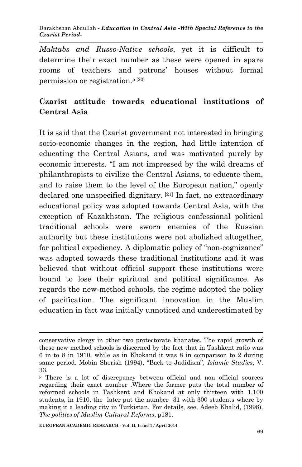*Maktabs and Russo-Native schools*, yet it is difficult to determine their exact number as these were opened in spare rooms of teachers and patrons' houses without formal permission or registration.<sup>p</sup> [20]

# **Czarist attitude towards educational institutions of Central Asia**

It is said that the Czarist government not interested in bringing socio-economic changes in the region, had little intention of educating the Central Asians, and was motivated purely by economic interests. "I am not impressed by the wild dreams of philanthropists to civilize the Central Asians, to educate them, and to raise them to the level of the European nation," openly declared one unspecified dignitary. [21] In fact, no extraordinary educational policy was adopted towards Central Asia, with the exception of Kazakhstan. The religious confessional political traditional schools were sworn enemies of the Russian authority but these institutions were not abolished altogether, for political expediency. A diplomatic policy of "non-cognizance" was adopted towards these traditional institutions and it was believed that without official support these institutions were bound to lose their spiritual and political significance. As regards the new-method schools, the regime adopted the policy of pacification. The significant innovation in the Muslim education in fact was initially unnoticed and underestimated by

**.** 

conservative clergy in other two protectorate khanates. The rapid growth of these new method schools is discerned by the fact that in Tashkent ratio was 6 in to 8 in 1910, while as in Khokand it was 8 in comparison to 2 during same period. Mobin Shorish (1994), "Back to Jadidism", *Islamic Studies*, V. 33.

<sup>p</sup> There is a lot of discrepancy between official and non official sources regarding their exact number .Where the former puts the total number of reformed schools in Tashkent and Khokand at only thirteen with 1,100 students, in 1910, the later put the number 31 with 300 students where by making it a leading city in Turkistan. For details, see, Adeeb Khalid, (1998), *The politics of Muslim Cultural Reforms*, p181.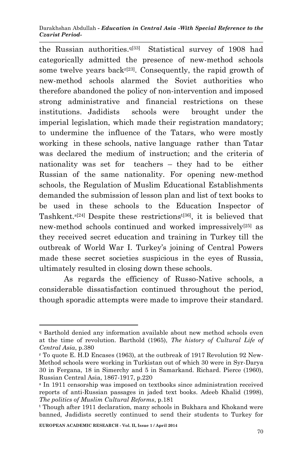the Russian authorities.q[33] Statistical survey of 1908 had categorically admitted the presence of new-method schools some twelve years back $r^{[23]}$ . Consequently, the rapid growth of new-method schools alarmed the Soviet authorities who therefore abandoned the policy of non-intervention and imposed strong administrative and financial restrictions on these institutions. Jadidists schools were brought under the imperial legislation, which made their registration mandatory; to undermine the influence of the Tatars, who were mostly working in these schools, native language rather than Tatar was declared the medium of instruction; and the criteria of nationality was set for teachers – they had to be either Russian of the same nationality. For opening new-method schools, the Regulation of Muslim Educational Establishments demanded the submission of lesson plan and list of text books to be used in these schools to the Education Inspector of Tashkent.s[24] Despite these restrictionst[36], it is believed that new-method schools continued and worked impressively[25] as they received secret education and training in Turkey till the outbreak of World War I. Turkey's joining of Central Powers made these secret societies suspicious in the eyes of Russia, ultimately resulted in closing down these schools.

As regards the efficiency of Russo-Native schools, a considerable dissatisfaction continued throughout the period, though sporadic attempts were made to improve their standard.

-

<sup>q</sup> Barthold denied any information available about new method schools even at the time of revolution. Barthold (1965), *The history of Cultural Life of Central Asia*, p.380

<sup>r</sup> To quote E. H.D Encases (1963), at the outbreak of 1917 Revolution 92 New-Method schools were working in Turkistan out of which 30 were in Syr-Darya 30 in Fergana, 18 in Simerchy and 5 in Samarkand. Richard. Pierce (1960), Russian Central Asia, 1867-1917, p.220

<sup>s</sup> In 1911 censorship was imposed on textbooks since administration received reports of anti-Russian passages in jaded text books. Adeeb Khalid (1998), *The politics of Muslim Cultural Reforms*, p.181

<sup>t</sup> Though after 1911 declaration, many schools in Bukhara and Khokand were banned, Jadidists secretly continued to send their students to Turkey for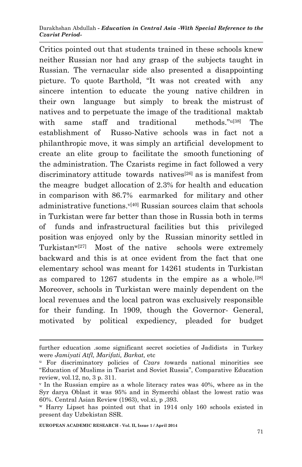Critics pointed out that students trained in these schools knew neither Russian nor had any grasp of the subjects taught in Russian. The vernacular side also presented a disappointing picture. To quote Barthold, "It was not created with any sincere intention to educate the young native children in their own language but simply to break the mistrust of natives and to perpetuate the image of the traditional maktab with same staff and traditional methods."<sup>u[38]</sup> The establishment of Russo-Native schools was in fact not a philanthropic move, it was simply an artificial development to create an elite group to facilitate the smooth functioning of the administration. The Czarists regime in fact followed a very discriminatory attitude towards natives<sup>[26]</sup> as is manifest from the meagre budget allocation of 2.3% for health and education in comparison with 86.7% earmarked for military and other administrative functions. $v^{[40]}$  Russian sources claim that schools in Turkistan were far better than those in Russia both in terms of funds and infrastructural facilities but this privileged position was enjoyed only by the Russian minority settled in Turkistan<sup>w[27]</sup> Most of the native schools were extremely backward and this is at once evident from the fact that one elementary school was meant for 14261 students in Turkistan as compared to 1267 students in the empire as a whole.[28] Moreover, schools in Turkistan were mainly dependent on the local revenues and the local patron was exclusively responsible for their funding. In 1909, though the Governor- General, motivated by political expediency, pleaded for budget

-

further education .some significant secret societies of Jadidists in Turkey were *Jamiyati Atfl, Marifati, Barkat,* etc

<sup>u</sup> For discriminatory policies of *Czars t*owards national minorities see "Education of Muslims in Tsarist and Soviet Russia", Comparative Education review, vol.12, no, 3 p. 311.

 $\gamma$  In the Russian empire as a whole literacy rates was 40%, where as in the Syr darya Oblast it was 95% and in Symerchi oblast the lowest ratio was 60%. Central Asian Review (1963), vol.xi, p ,393.

<sup>w</sup> Harry Lipset has pointed out that in 1914 only 160 schools existed in present day Uzbekistan SSR.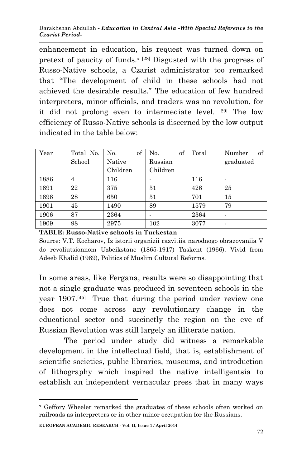enhancement in education, his request was turned down on pretext of paucity of funds. $^{x}$  [28] Disgusted with the progress of Russo-Native schools, a Czarist administrator too remarked that "The development of child in these schools had not achieved the desirable results." The education of few hundred interpreters, minor officials, and traders was no revolution, for it did not prolong even to intermediate level. [29] The low efficiency of Russo-Native schools is discerned by the low output indicated in the table below:

| Year | Total No. | of<br>No. | of<br>No. | Total | Number<br>of |
|------|-----------|-----------|-----------|-------|--------------|
|      | School    | Native    | Russian   |       | graduated    |
|      |           | Children  | Children  |       |              |
| 1886 | 4         | 116       |           | 116   |              |
| 1891 | 22        | 375       | 51        | 426   | 25           |
| 1896 | 28        | 650       | 51        | 701   | 15           |
| 1901 | 45        | 1490      | 89        | 1579  | 79           |
| 1906 | 87        | 2364      |           | 2364  |              |
| 1909 | 98        | 2975      | 102       | 3077  |              |

### **TABLE: Russo-Native schools in Turkestan**

Source: V.T. Kocharov, Iz istorii organizii razvitiia narodnogo obrazovaniia V do revoliutsionnom Uzbeikstane (1865-1917) Taskent (1966). Vivid from Adeeb Khalid (1989), Politics of Muslim Cultural Reforms.

In some areas, like Fergana, results were so disappointing that not a single graduate was produced in seventeen schools in the year 1907.[45] True that during the period under review one does not come across any revolutionary change in the educational sector and succinctly the region on the eve of Russian Revolution was still largely an illiterate nation.

The period under study did witness a remarkable development in the intellectual field, that is, establishment of scientific societies, public libraries, museums, and introduction of lithography which inspired the native intelligentsia to establish an independent vernacular press that in many ways

1

<sup>x</sup> Geffory Wheeler remarked the graduates of these schools often worked on railroads as interpreters or in other minor occupation for the Russians.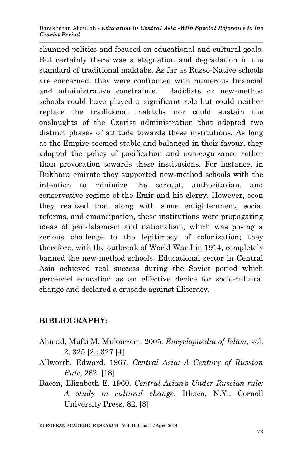shunned politics and focused on educational and cultural goals. But certainly there was a stagnation and degradation in the standard of traditional maktabs. As far as Russo-Native schools are concerned, they were confronted with numerous financial and administrative constraints. Jadidists or new-method schools could have played a significant role but could neither replace the traditional maktabs nor could sustain the onslaughts of the Czarist administration that adopted two distinct phases of attitude towards these institutions. As long as the Empire seemed stable and balanced in their favour, they adopted the policy of pacification and non-cognizance rather than provocation towards these institutions. For instance, in Bukhara emirate they supported new-method schools with the intention to minimize the corrupt, authoritarian, and conservative regime of the Emir and his clergy. However, soon they realized that along with some enlightenment, social reforms, and emancipation, these institutions were propagating ideas of pan-Islamism and nationalism, which was posing a serious challenge to the legitimacy of colonization; they therefore, with the outbreak of World War I in 1914, completely banned the new-method schools. Educational sector in Central Asia achieved real success during the Soviet period which perceived education as an effective device for socio-cultural change and declared a crusade against illiteracy.

## **BIBLIOGRAPHY:**

- Ahmad, Mufti M. Mukarram. 2005. *Encyclopaedia of Islam,* vol. 2, 325 [2]; 327 [4]
- Allworth, Edward. 1967. *Central Asia: A Century of Russian Rule*, 262. [18]
- Bacon, Elizabeth E. 1960. *Central Asian's Under Russian rule: A study in cultural change*. Ithaca, N.Y.: Cornell University Press. 82. [8]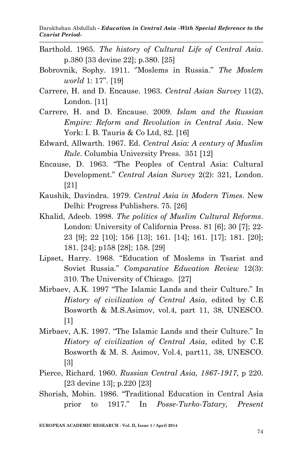Darakhshan Abdullah *- Education in Central Asia -With Special Reference to the Czarist Period-*

- Barthold. 1965. *The history of Cultural Life of Central Asia*. p.380 [33 devine 22]; p.380. [25]
- Bobrovnik, Sophy. 1911. ''Moslems in Russia." *The Moslem world* 1: 17''. [19]
- Carrere, H. and D. Encause. 1963. *Central Asian Survey* 11(2), London. [11]
- Carrere, H. and D. Encause. 2009. *Islam and the Russian Empire: Reform and Revolution in Central Asia*. New York: I. B. Tauris & Co Ltd, 82. [16]
- Edward, Allwarth. 1967. Ed. *Central Asia: A century of Muslim Rule*. Columbia University Press. 351 [12]
- Encause, D. 1963. "The Peoples of Central Asia: Cultural Development." *Central Asian Survey* 2(2): 321, London. [21]
- Kaushik, Davindra. 1979. *Central Asia in Modern Times*. New Delhi: Progress Publishers. 75. [26]
- Khalid, Adeeb. 1998. *The politics of Muslim Cultural Reforms*. London: University of California Press. 81 [6]; 30 [7]; 22- 23 [9]; 22 [10]; 156 [13]; 161. [14]; 161. [17]; 181. [20]; 181. [24]; p158 [28]; 158. [29]
- Lipset, Harry. 1968. "Education of Moslems in Tsarist and Soviet Russia." *Comparative Education Review* 12(3): 310. The University of Chicago. [27]
- Mirbaev, A.K. 1997 "The Islamic Lands and their Culture." In *History of civilization of Central Asia*, edited by C.E Bosworth & M.S.Asimov, vol.4, part 11, 38, UNESCO. [1]
- Mirbaev, A.K. 1997. "The Islamic Lands and their Culture." In *History of civilization of Central Asia*, edited by C.E Bosworth & M. S. Asimov, Vol.4, part11, 38, UNESCO. [3]
- Pierce, Richard. 1960. *Russian Central Asia, 1867-1917*, p 220. [23 devine 13]; p.220 [23]
- Shorish, Mobin. 1986. "Traditional Education in Central Asia prior to 1917." In *Posse-Turko-Tatary, Present*